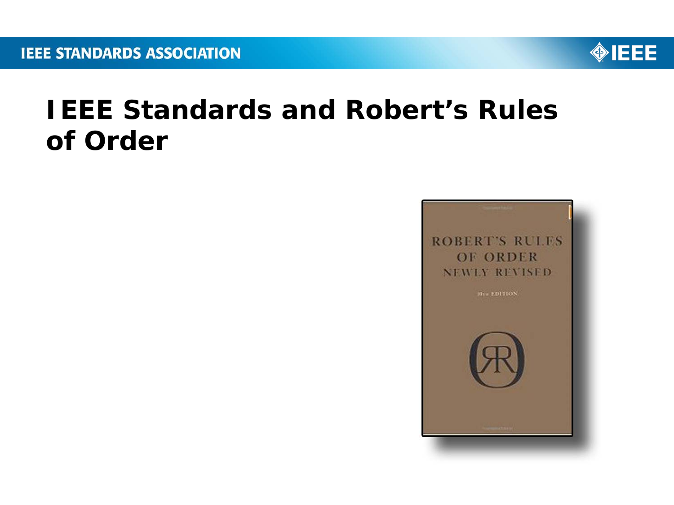

### **IEEE Standards and Robert's Rules of Order**

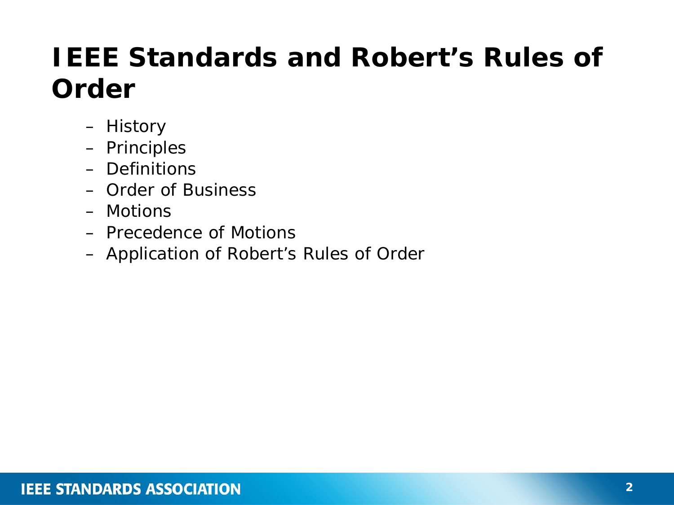# **IEEE Standards and Robert's Rules of Order**

- History
- Principles
- Definitions
- Order of Business
- Motions
- Precedence of Motions
- Application of *Robert's Rules of Order*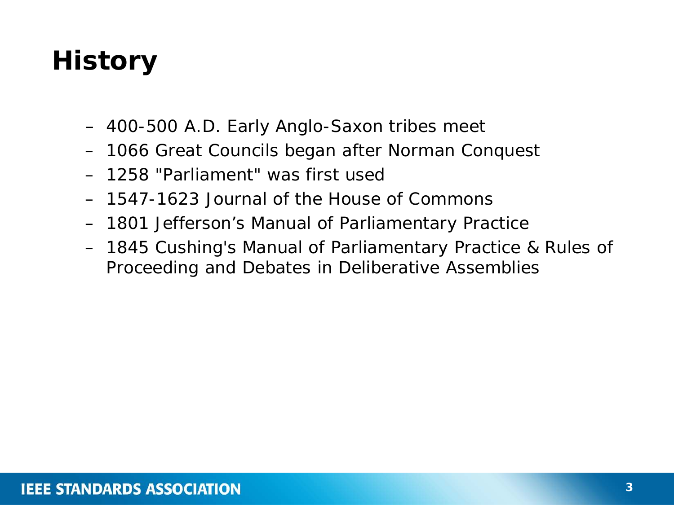# **History**

- 400-500 A.D. Early Anglo-Saxon tribes meet
- 1066 Great Councils began after Norman Conquest
- 1258 "Parliament" was first used
- 1547-1623 *Journal of the House of Commons*
- 1801 Jefferson's *Manual of Parliamentary Practice*
- 1845 Cushing's *Manual of Parliamentary Practice & Rules of Proceeding and Debates in Deliberative Assemblies*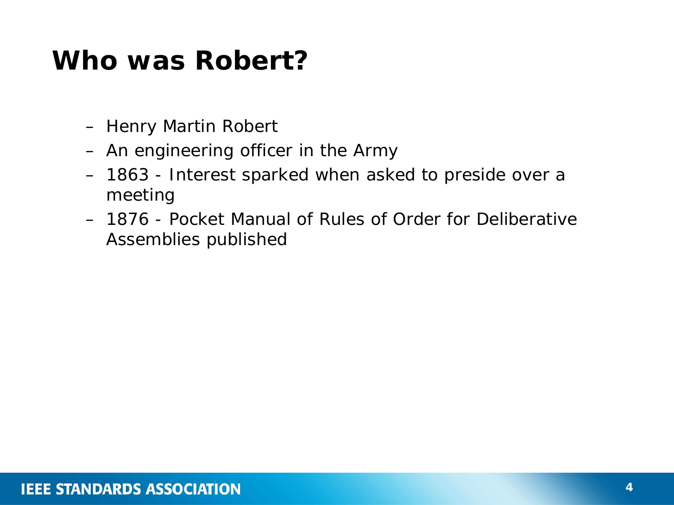#### **Who was Robert?**

- Henry Martin Robert
- An engineering officer in the Army
- 1863 Interest sparked when asked to preside over a meeting
- 1876 *Pocket Manual of Rules of Order for Deliberative Assemblies* published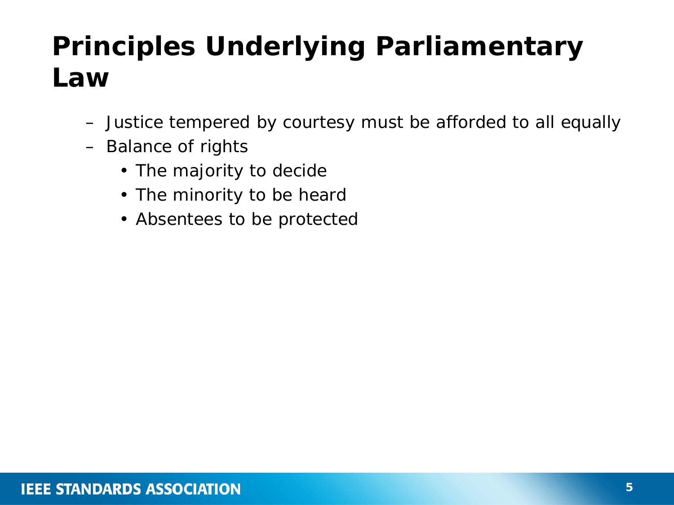# **Principles Underlying Parliamentary Law**

- Justice tempered by courtesy must be afforded to all equally
- Balance of rights
	- The majority to decide
	- The minority to be heard
	- Absentees to be protected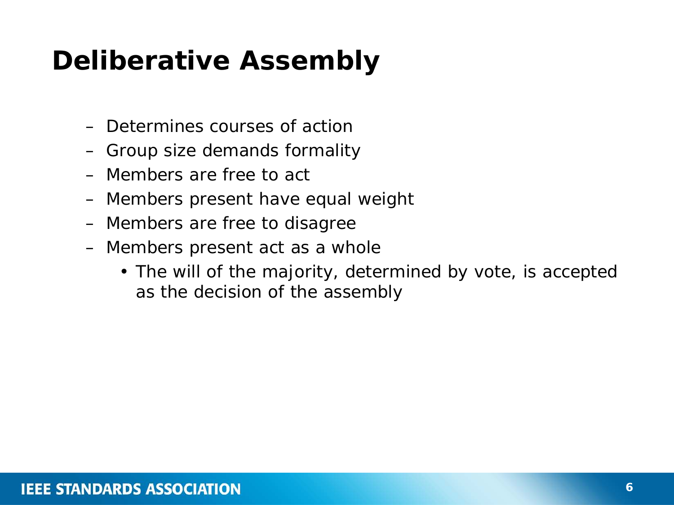# **Deliberative Assembly**

- Determines courses of action
- Group size demands formality
- Members are free to act
- Members present have equal weight
- Members are free to disagree
- Members present act as a whole
	- The will of the majority, determined by vote, is accepted as the decision of the assembly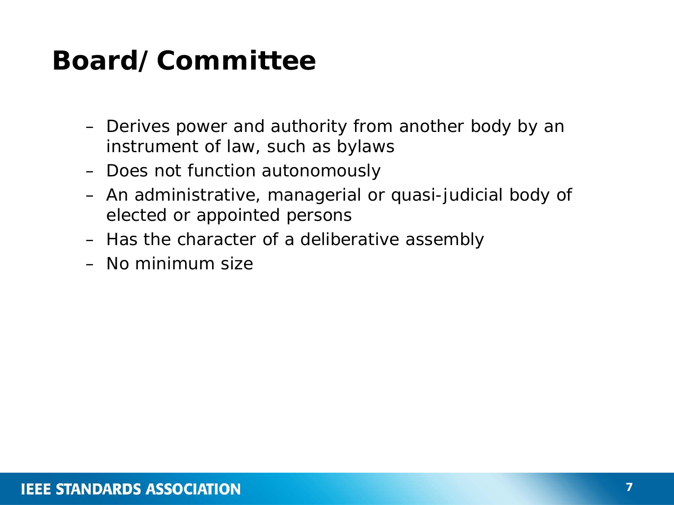# **Board/Committee**

- Derives power and authority from another body by an instrument of law, such as bylaws
- Does not function autonomously
- An administrative, managerial or quasi-judicial body of elected or appointed persons
- Has the character of a deliberative assembly
- No minimum size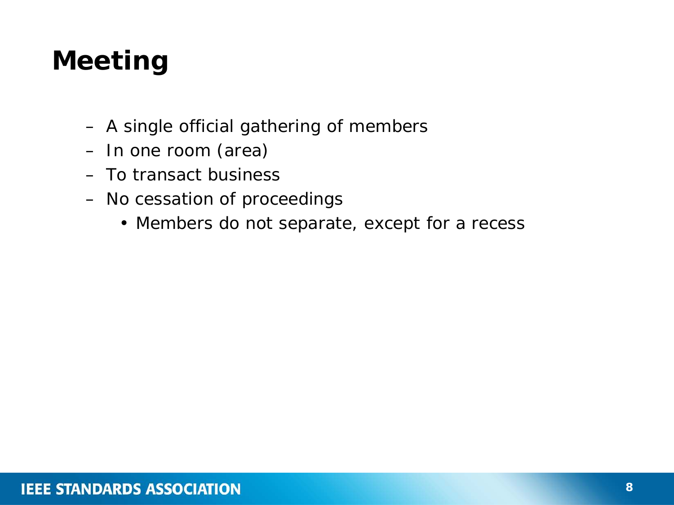# **Meeting**

- A single official gathering of members
- In one room (area)
- To transact business
- No cessation of proceedings
	- Members do not separate, except for a recess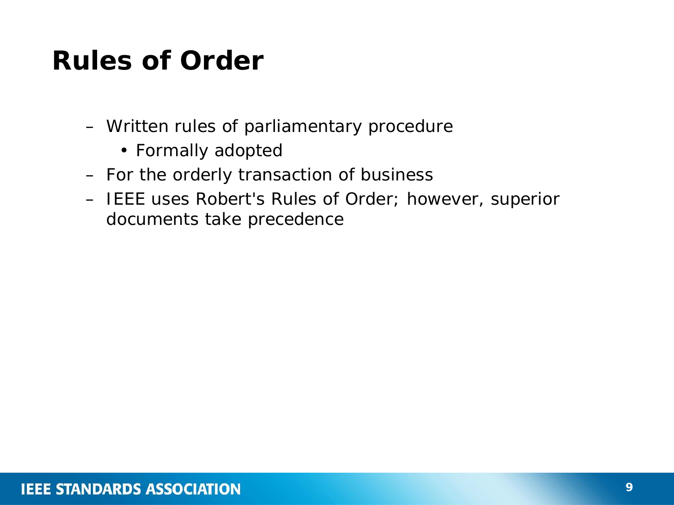#### **Rules of Order**

- Written rules of parliamentary procedure
	- Formally adopted
- For the orderly transaction of business
- IEEE uses *Robert's Rules of Order*; however, superior documents take precedence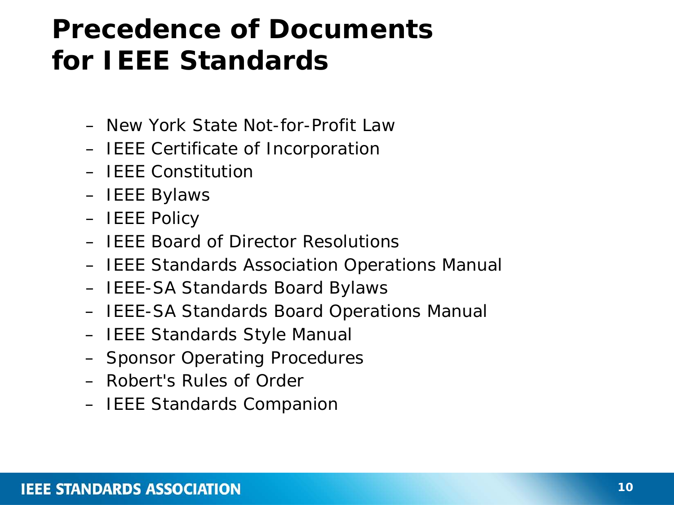### **Precedence of Documents for IEEE Standards**

- New York State Not-for-Profit Law
- IEEE Certificate of Incorporation
- IEEE Constitution
- IEEE Bylaws
- IEEE Policy
- IEEE Board of Director Resolutions
- IEEE Standards Association Operations Manual
- IEEE-SA Standards Board Bylaws
- IEEE-SA Standards Board Operations Manual
- IEEE Standards Style Manual
- Sponsor Operating Procedures
- Robert's Rules of Order
- IEEE Standards Companion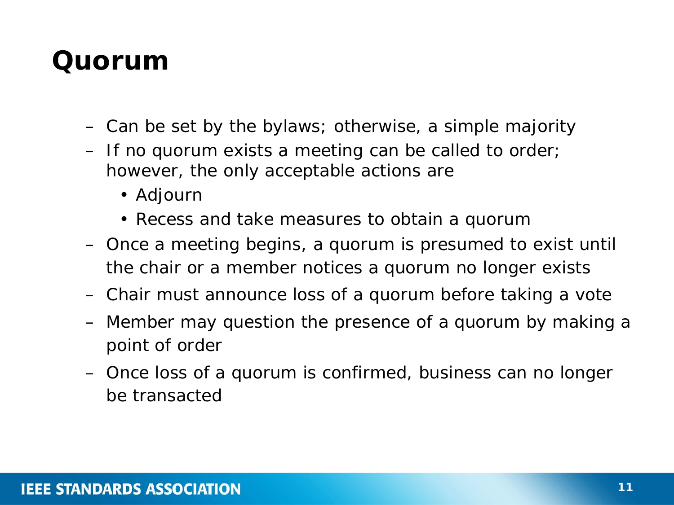#### **Quorum**

- Can be set by the bylaws; otherwise, a simple majority
- If no quorum exists a meeting can be called to order; however, the only acceptable actions are
	- Adjourn
	- Recess and take measures to obtain a quorum
- Once a meeting begins, a quorum is presumed to exist until the chair or a member notices a quorum no longer exists
- Chair must announce loss of a quorum before taking a vote
- Member may question the presence of a quorum by making a point of order
- Once loss of a quorum is confirmed, business can no longer be transacted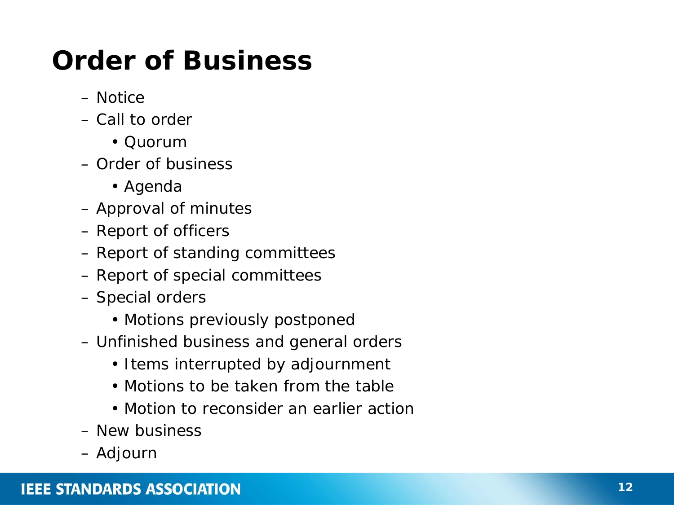# **Order of Business**

- Notice
- Call to order
	- Quorum
- Order of business
	- Agenda
- Approval of minutes
- Report of officers
- Report of standing committees
- Report of special committees
- Special orders
	- Motions previously postponed
- Unfinished business and general orders
	- Items interrupted by adjournment
	- Motions to be taken from the table
	- Motion to reconsider an earlier action
- New business
- Adjourn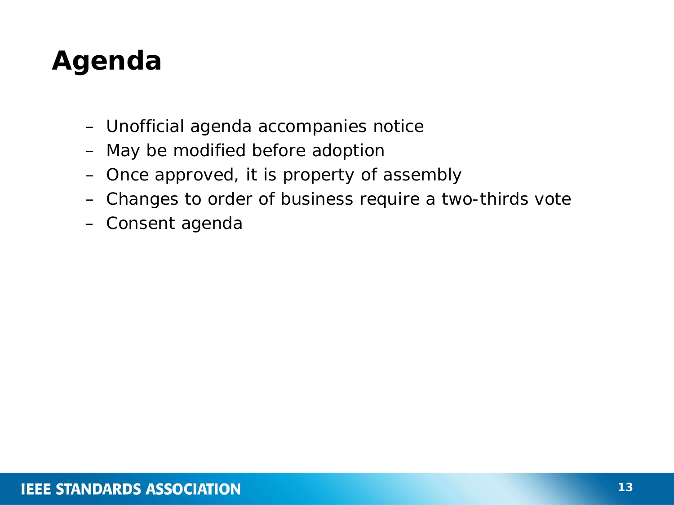# **Agenda**

- Unofficial agenda accompanies notice
- May be modified before adoption
- Once approved, it is property of assembly
- Changes to order of business require a two-thirds vote
- Consent agenda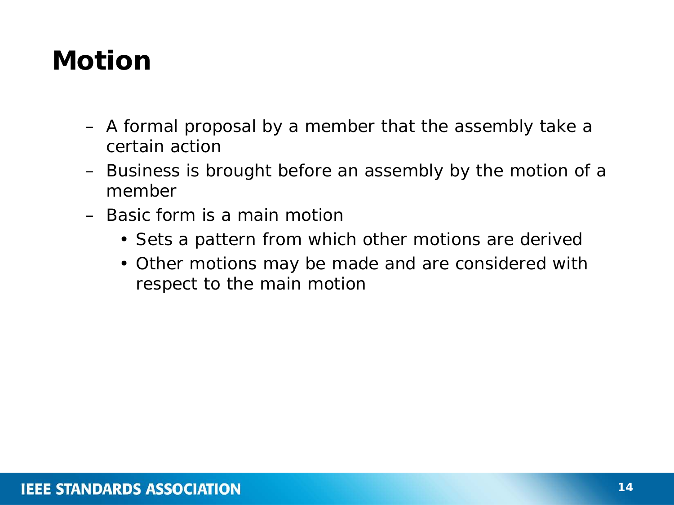# **Motion**

- A formal proposal by a member that the assembly take a certain action
- Business is brought before an assembly by the motion of a member
- Basic form is a main motion
	- Sets a pattern from which other motions are derived
	- Other motions may be made and are considered with respect to the main motion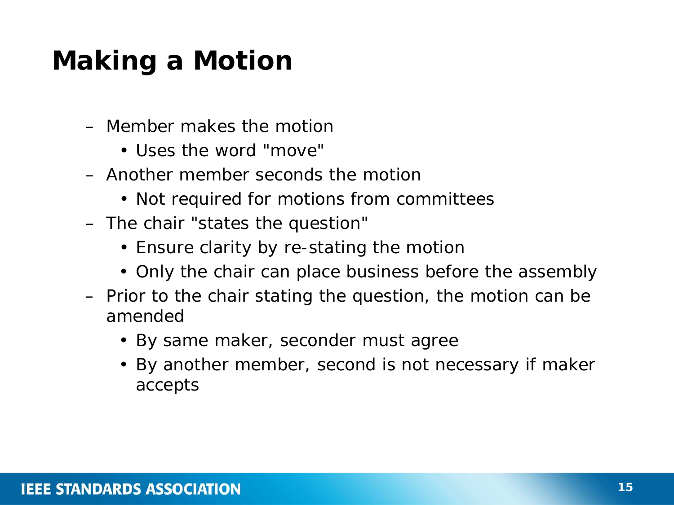# **Making a Motion**

- Member makes the motion
	- Uses the word "move"
- Another member seconds the motion
	- Not required for motions from committees
- The chair "states the question"
	- Ensure clarity by re-stating the motion
	- Only the chair can place business before the assembly
- Prior to the chair stating the question, the motion can be amended
	- By same maker, seconder must agree
	- By another member, second is not necessary if maker accepts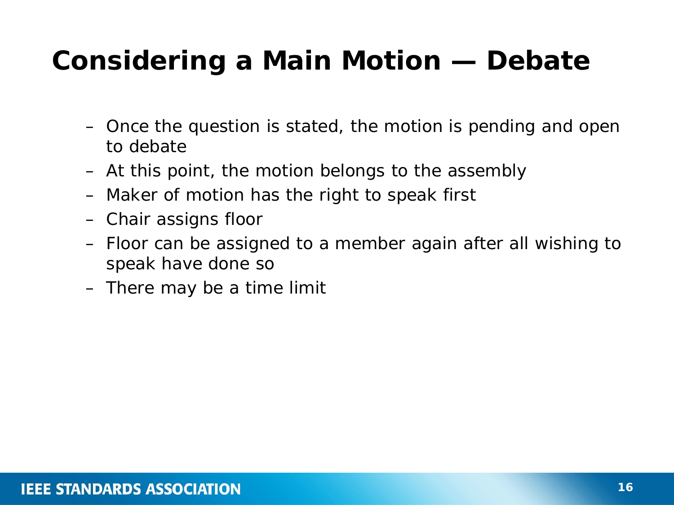# **Considering a Main Motion — Debate**

- Once the question is stated, the motion is pending and open to debate
- At this point, the motion belongs to the assembly
- Maker of motion has the right to speak first
- Chair assigns floor
- Floor can be assigned to a member again after all wishing to speak have done so
- There may be a time limit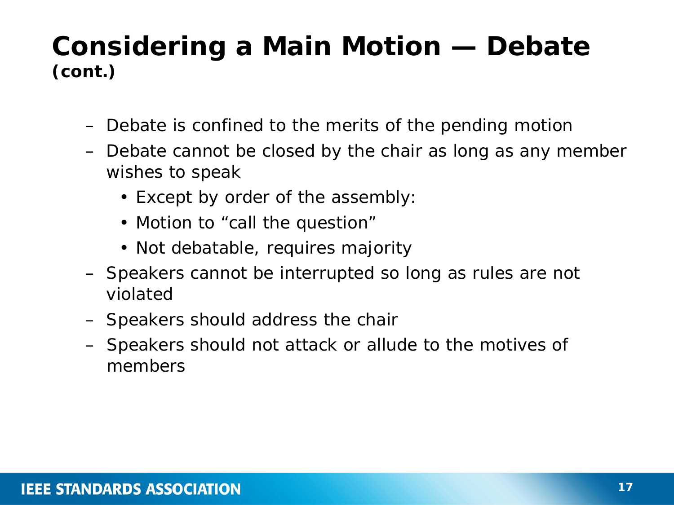#### **Considering a Main Motion — Debate (***cont.***)**

- Debate is confined to the merits of the pending motion
- Debate cannot be closed by the chair as long as any member wishes to speak
	- Except by order of the assembly:
	- Motion to "call the question"
	- Not debatable, requires majority
- Speakers cannot be interrupted so long as rules are not violated
- Speakers should address the chair
- Speakers should not attack or allude to the motives of members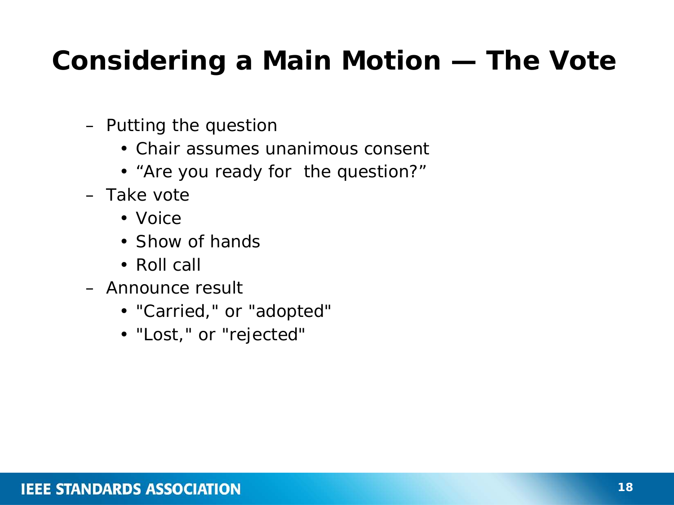# **Considering a Main Motion — The Vote**

- Putting the question
	- Chair assumes unanimous consent
	- "Are you ready for the question?"
- Take vote
	- Voice
	- Show of hands
	- Roll call
- Announce result
	- "Carried," or "adopted"
	- "Lost," or "rejected"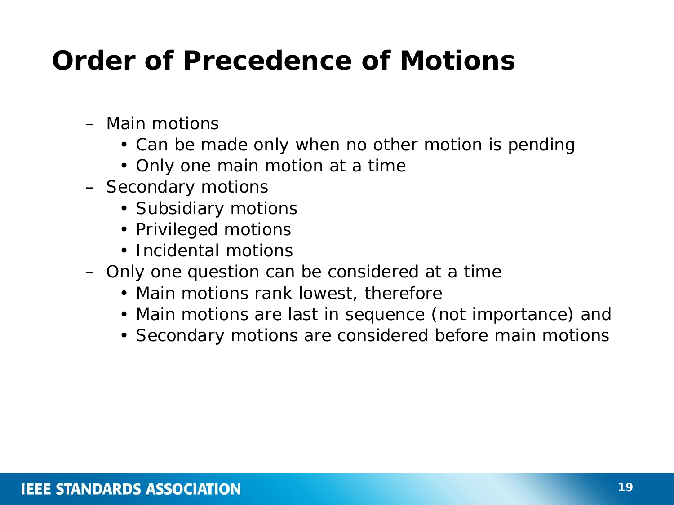### **Order of Precedence of Motions**

- Main motions
	- Can be made only when no other motion is pending
	- Only one main motion at a time
- Secondary motions
	- Subsidiary motions
	- Privileged motions
	- Incidental motions
- Only one question can be considered at a time
	- Main motions rank lowest, therefore
	- Main motions are last in sequence (not importance) and
	- Secondary motions are considered before main motions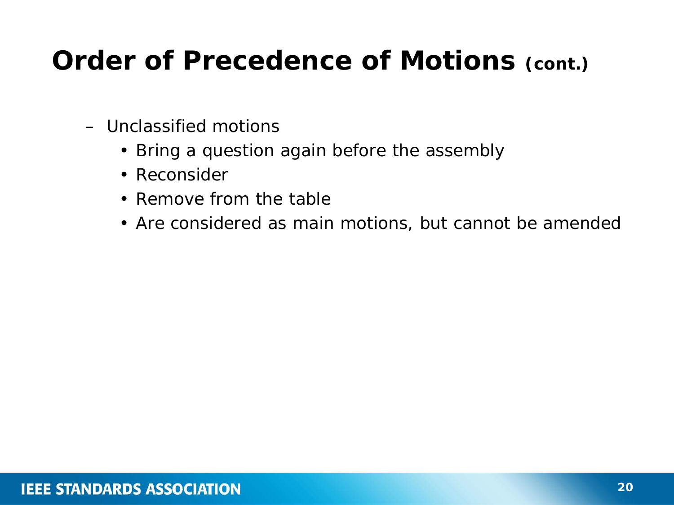### **Order of Precedence of Motions (***cont.***)**

- Unclassified motions
	- Bring a question again before the assembly
	- Reconsider
	- Remove from the table
	- Are considered as main motions, but cannot be amended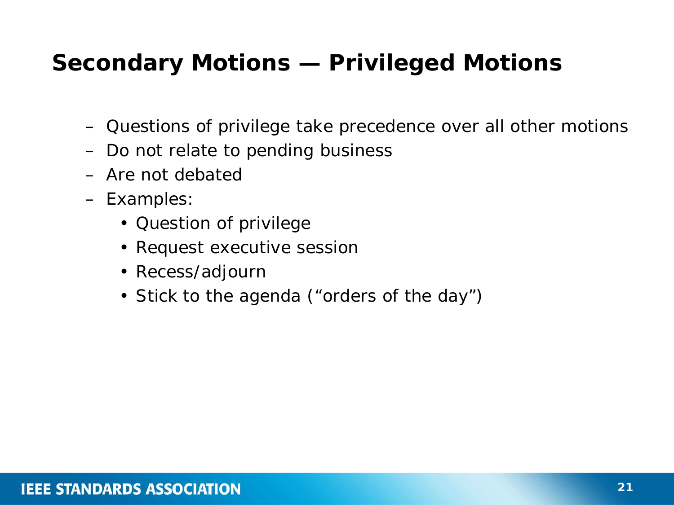#### **Secondary Motions — Privileged Motions**

- Questions of privilege take precedence over all other motions
- Do not relate to pending business
- Are not debated
- Examples:
	- Question of privilege
	- Request executive session
	- Recess/adjourn
	- Stick to the agenda ("orders of the day")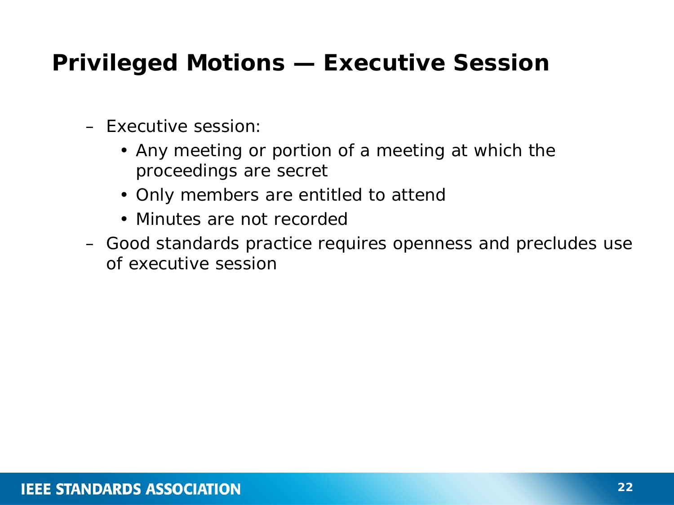#### **Privileged Motions — Executive Session**

- Executive session:
	- Any meeting or portion of a meeting at which the proceedings are secret
	- Only members are entitled to attend
	- Minutes are not recorded
- Good standards practice requires openness and precludes use of executive session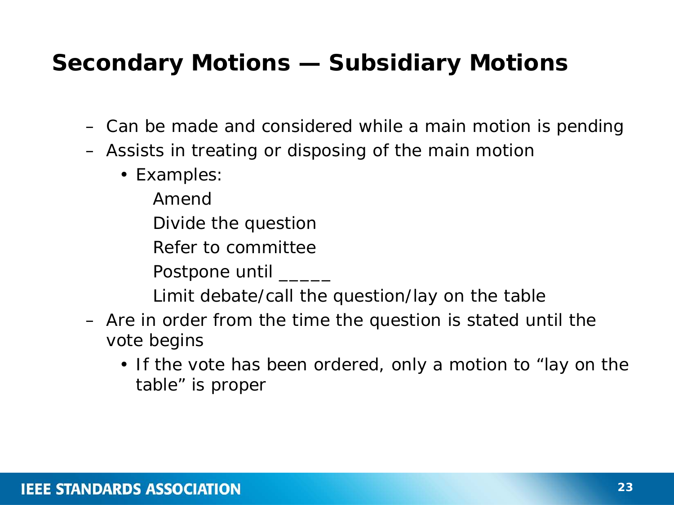#### **Secondary Motions — Subsidiary Motions**

- Can be made and considered while a main motion is pending
- Assists in treating or disposing of the main motion
	- Examples:
		- Amend
		- Divide the question
		- Refer to committee
		- Postpone until \_\_\_\_\_\_
		- Limit debate/call the question/lay on the table
- Are in order from the time the question is stated until the vote begins
	- If the vote has been ordered, only a motion to "lay on the table" is proper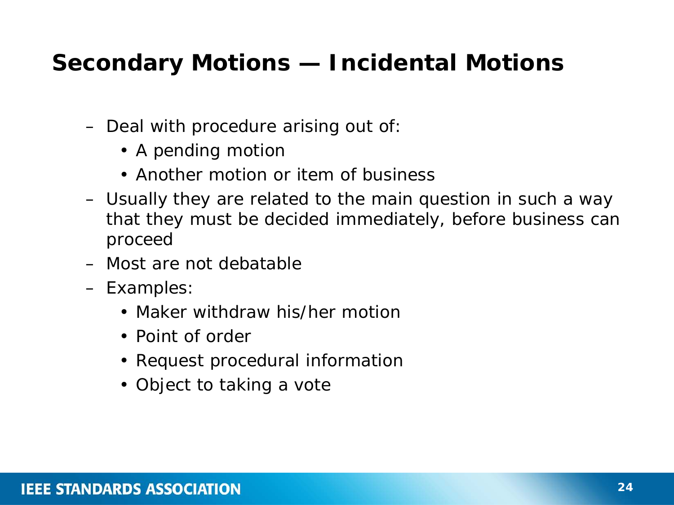#### **Secondary Motions — Incidental Motions**

- Deal with procedure arising out of:
	- A pending motion
	- Another motion or item of business
- Usually they are related to the main question in such a way that they must be decided immediately, before business can proceed
- Most are not debatable
- Examples:
	- Maker withdraw his/her motion
	- Point of order
	- Request procedural information
	- Object to taking a vote